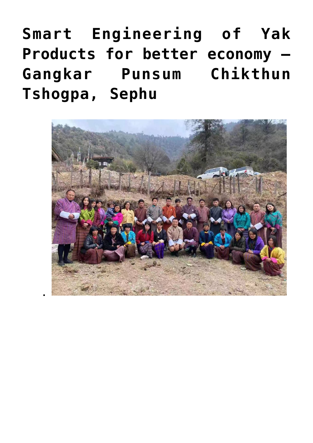**[Smart Engineering of Yak](https://www.dol.gov.bt/smart-engineering-of-yak-products-for-better-economy-gangkar-punsum-chikthun-tshogpa-sephu/) [Products for better economy –](https://www.dol.gov.bt/smart-engineering-of-yak-products-for-better-economy-gangkar-punsum-chikthun-tshogpa-sephu/) [Gangkar Punsum Chikthun](https://www.dol.gov.bt/smart-engineering-of-yak-products-for-better-economy-gangkar-punsum-chikthun-tshogpa-sephu/) [Tshogpa, Sephu](https://www.dol.gov.bt/smart-engineering-of-yak-products-for-better-economy-gangkar-punsum-chikthun-tshogpa-sephu/)**

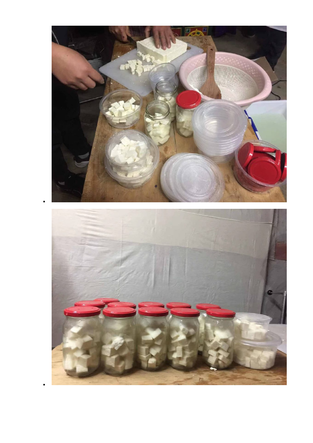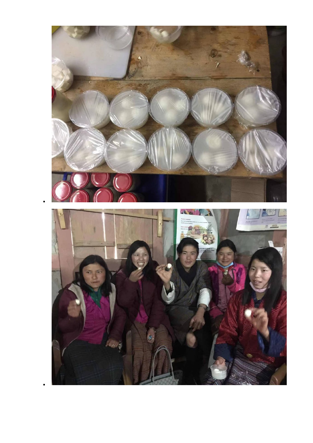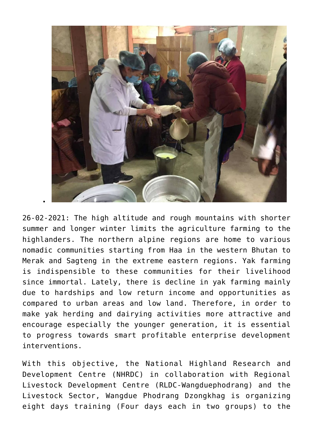

26-02-2021: The high altitude and rough mountains with shorter summer and longer winter limits the agriculture farming to the highlanders. The northern alpine regions are home to various nomadic communities starting from Haa in the western Bhutan to Merak and Sagteng in the extreme eastern regions. Yak farming is indispensible to these communities for their livelihood since immortal. Lately, there is decline in yak farming mainly due to hardships and low return income and opportunities as compared to urban areas and low land. Therefore, in order to make yak herding and dairying activities more attractive and encourage especially the younger generation, it is essential to progress towards smart profitable enterprise development interventions.

With this objective, the National Highland Research and Development Centre (NHRDC) in collaboration with Regional Livestock Development Centre (RLDC-Wangduephodrang) and the Livestock Sector, Wangdue Phodrang Dzongkhag is organizing eight days training (Four days each in two groups) to the